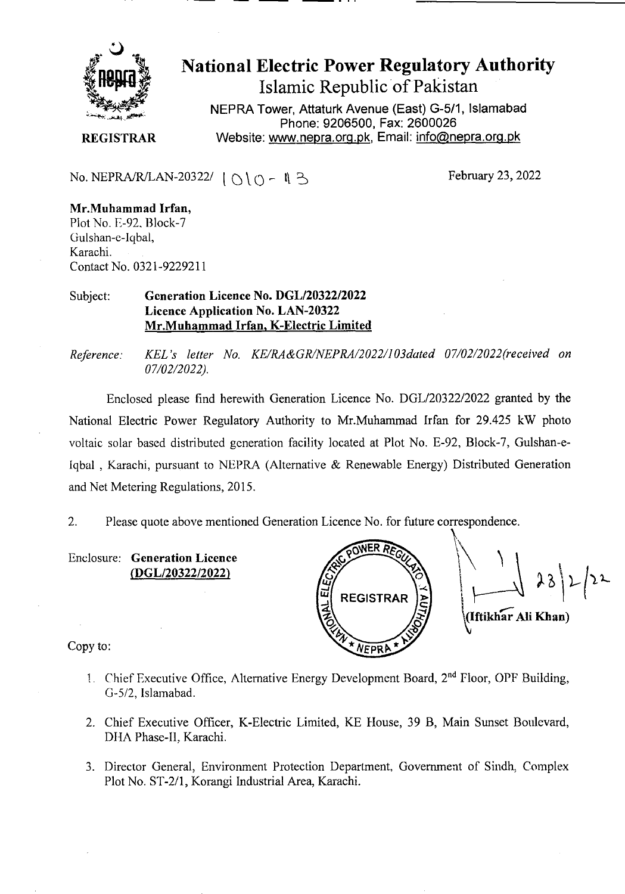

# **National Electric Power Regulatory Authority Islamic Republic of Pakistan**

**NEPRA Tower, Attaturk Avenue (East) G-5/1, Islamabad Phone: 9206500, Fax: 2600026 REGISTRAR** Website: www.nepra.org.pk, Email: info@nepra.org.pk

No. NEPRA/R/LAN-20322/  $|\bigcap \{ \bigcap - \emptyset \}$  B

#### **Mr.Muhammad Irfan,**  Plot No. E-92, Block-7 Gulshan-e-Iqbal, Karachi. Contact No. 0321-9229211

#### Subject: **Generation Licence No. DGL/20322/2022 Licence Application No.** LAN-20322 Mr.Muhammad **Irfan,** K**-Electric Limited**

*Reference. KEL 's letter No. KE/RA&GRINEPRA/2022/103dated 07/02/2022(received on 07/02/2022).* 

Enclosed please Find herewith Generation Licence No. DGL/20322/2022 granted by the National Electric Power Regulatory Authority to Mr.Muhammad Irfan for *29.425* kW photo voltaic solar based distributed generation facility located at Plot No. E-92, Block-7, Gulshan-e-Iqbal, Karachi, pursuant to NEPRA (Alternative & Renewable Energy) Distributed Generation and Net Metering Regulations, 2015.

2. Please quote above mentioned Generation Licence No. for future correspondence.

Enclosure: **Generation Licence**  *(DGL/2032212022)* 



Copy to:

- 1. Chief Executive Office, Alternative Energy Development Board, 2<sup>nd</sup> Floor, OPF Building, G-5/2, Islamabad.
- 2. Chief Executive Officer, K-Electric Limited, KE Flouse, 39 B, Main Sunset Boulevard, DHA Phase-Il, Karachi.
- 3. Director General, Environment Protection Department, Government of Sindh, Complex Plot No. ST-2/1, Korangi Industrial Area, Karachi.